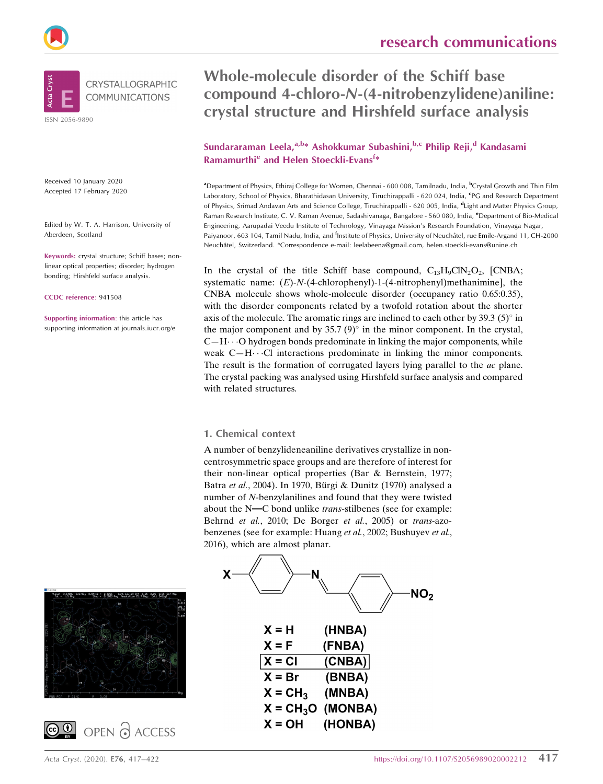Whole-molecule disorder of the Schiff base compound 4-chloro-N-(4-nitrobenzylidene)aniline: crystal structure and Hirshfeld surface analysis

# Sundararaman Leela,<sup>a,b\*</sup> Ashokkumar Subashini,<sup>b,c</sup> Philip Reji,<sup>d</sup> Kandasami Ramamurthi<sup>e</sup> and Helen Stoeckli-Evans<sup>f\*</sup>

<sup>a</sup>Department of Physics, Ethiraj College for Women, Chennai - 600 008, Tamilnadu, India, <sup>b</sup>Crystal Growth and Thin Film Laboratory, School of Physics, Bharathidasan University, Tiruchirappalli - 620 024, India, <sup>e</sup>PG and Research Department of Physics, Srimad Andavan Arts and Science College, Tiruchirappalli - 620 005, India, <sup>d</sup>Light and Matter Physics Group, Raman Research Institute, C. V. Raman Avenue, Sadashivanaga, Bangalore - 560 080, India, <sup>e</sup>Department of Bio-Medical Engineering, Aarupadai Veedu Institute of Technology, Vinayaga Mission's Research Foundation, Vinayaga Nagar, Paiyanoor, 603 104, Tamil Nadu, India, and <sup>f</sup>Institute of Physics, University of Neuchâtel, rue Emile-Argand 11, CH-2000 Neuchaˆtel, Switzerland. \*Correspondence e-mail: leelabeena@gmail.com, helen.stoeckli-evans@unine.ch

In the crystal of the title Schiff base compound,  $C_{13}H_9CN_2O_2$ , [CNBA; systematic name:  $(E)$ -N-(4-chlorophenyl)-1-(4-nitrophenyl)methanimine], the CNBA molecule shows whole-molecule disorder (occupancy ratio 0.65:0.35), with the disorder components related by a twofold rotation about the shorter axis of the molecule. The aromatic rings are inclined to each other by 39.3  $(5)^\circ$  in the major component and by 35.7  $(9)^\circ$  in the minor component. In the crystal,  $C-H \cdots O$  hydrogen bonds predominate in linking the major components, while weak  $C-H\cdots$ Cl interactions predominate in linking the minor components. The result is the formation of corrugated layers lying parallel to the *ac* plane. The crystal packing was analysed using Hirshfeld surface analysis and compared with related structures.

#### 1. Chemical context

A number of benzylideneaniline derivatives crystallize in noncentrosymmetric space groups and are therefore of interest for their non-linear optical properties (Bar & Bernstein, 1977; Batra et al., 2004). In 1970, Bürgi & Dunitz (1970) analysed a number of N-benzylanilines and found that they were twisted about the  $N = C$  bond unlike *trans*-stilbenes (see for example: Behrnd et al., 2010; De Borger et al., 2005) or trans-azobenzenes (see for example: Huang et al., 2002; Bushuyev et al., 2016), which are almost planar.



(HONBA)

 $X = OH$ 







Received 10 January 2020 Accepted 17 February 2020

ISSN 2056-9890

Aberdeen, Scotland

CCDC reference: 941508

Edited by W. T. A. Harrison, University of

CRYSTALLOGRAPHIC **COMMUNICATIONS** 

Keywords: crystal structure; Schiff bases; nonlinear optical properties; disorder; hydrogen bonding; Hirshfeld surface analysis.

Supporting information: this article has supporting information at journals.iucr.org/e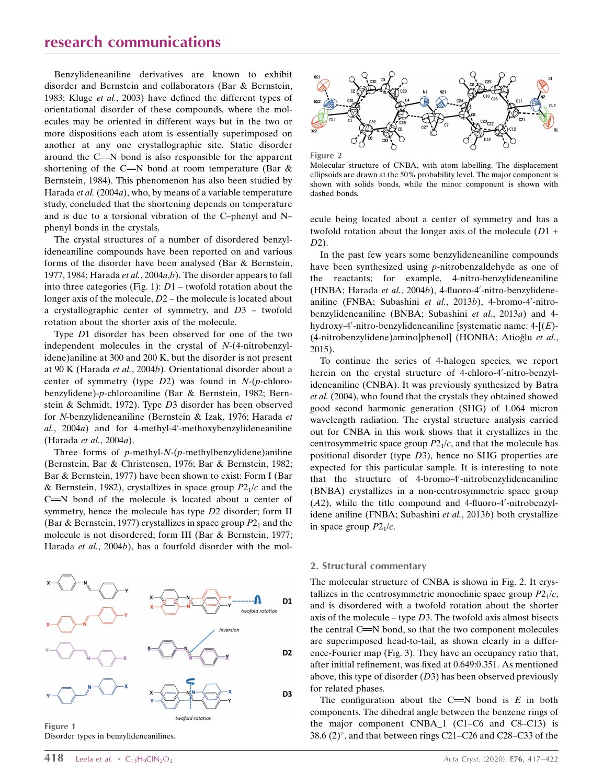# research communications

Benzylideneaniline derivatives are known to exhibit disorder and Bernstein and collaborators (Bar & Bernstein, 1983; Kluge et al., 2003) have defined the different types of orientational disorder of these compounds, where the molecules may be oriented in different ways but in the two or more dispositions each atom is essentially superimposed on another at any one crystallographic site. Static disorder around the  $C = N$  bond is also responsible for the apparent shortening of the C=N bond at room temperature (Bar  $\&$ Bernstein, 1984). This phenomenon has also been studied by Harada *et al.* (2004*a*), who, by means of a variable temperature study, concluded that the shortening depends on temperature and is due to a torsional vibration of the C–phenyl and N– phenyl bonds in the crystals.

The crystal structures of a number of disordered benzylideneaniline compounds have been reported on and various forms of the disorder have been analysed (Bar & Bernstein, 1977, 1984; Harada et al., 2004a,b). The disorder appears to fall into three categories (Fig. 1):  $D1$  – twofold rotation about the longer axis of the molecule, D2 – the molecule is located about a crystallographic center of symmetry, and D3 – twofold rotation about the shorter axis of the molecule.

Type D1 disorder has been observed for one of the two independent molecules in the crystal of N-(4-nitrobenzylidene)aniline at 300 and 200 K, but the disorder is not present at 90 K (Harada et al., 2004b). Orientational disorder about a center of symmetry (type  $D2$ ) was found in N-(p-chlorobenzylidene)-p-chloroaniline (Bar & Bernstein, 1982; Bernstein & Schmidt, 1972). Type D3 disorder has been observed for N-benzylideneaniline (Bernstein & Izak, 1976; Harada et  $al.$ , 2004 $a)$  and for 4-methyl-4'-methoxybenzylideneaniline (Harada et al., 2004a).

Three forms of  $p$ -methyl-N- $(p$ -methylbenzylidene)aniline (Bernstein, Bar & Christensen, 1976; Bar & Bernstein, 1982; Bar & Bernstein, 1977) have been shown to exist: Form I (Bar & Bernstein, 1982), crystallizes in space group  $P2<sub>1</sub>/c$  and the  $C = N$  bond of the molecule is located about a center of symmetry, hence the molecule has type D2 disorder; form II (Bar & Bernstein, 1977) crystallizes in space group  $P2<sub>1</sub>$  and the molecule is not disordered; form III (Bar & Bernstein, 1977; Harada et al., 2004b), has a fourfold disorder with the mol-



Figure 1 Disorder types in benzylideneanilines.

Figure 2 Molecular structure of CNBA, with atom labelling. The displacement ellipsoids are drawn at the 50% probability level. The major component is shown with solids bonds, while the minor component is shown with dashed bonds.

ecule being located about a center of symmetry and has a twofold rotation about the longer axis of the molecule  $(D1 +$  $D2$ ).

In the past few years some benzylideneaniline compounds have been synthesized using p-nitrobenzaldehyde as one of the reactants; for example, 4-nitro-benzylideneaniline (HNBA; Harada et al., 2004b), 4-fluoro-4'-nitro-benzylideneaniline (FNBA; Subashini et al., 2013b), 4-bromo-4'-nitrobenzylideneaniline (BNBA; Subashini et al., 2013a) and 4 hydroxy-4'-nitro-benzylideneaniline [systematic name:  $4-[(E)$ -(4-nitrobenzylidene)amino]phenol] (HONBA; Atioğlu et al., 2015).

To continue the series of 4-halogen species, we report herein on the crystal structure of 4-chloro-4'-nitro-benzylideneaniline (CNBA). It was previously synthesized by Batra et al. (2004), who found that the crystals they obtained showed good second harmonic generation (SHG) of 1.064 micron wavelength radiation. The crystal structure analysis carried out for CNBA in this work shows that it crystallizes in the centrosymmetric space group  $P2<sub>1</sub>/c$ , and that the molecule has positional disorder (type D3), hence no SHG properties are expected for this particular sample. It is interesting to note that the structure of 4-bromo-4'-nitrobenzylideneaniline (BNBA) crystallizes in a non-centrosymmetric space group  $(A2)$ , while the title compound and 4-fluoro-4'-nitrobenzylidene aniline (FNBA; Subashini et al., 2013b) both crystallize in space group  $P2_1/c$ .

#### 2. Structural commentary

The molecular structure of CNBA is shown in Fig. 2. It crystallizes in the centrosymmetric monoclinic space group  $P2<sub>1</sub>/c$ , and is disordered with a twofold rotation about the shorter axis of the molecule – type  $D3$ . The twofold axis almost bisects the central  $C = N$  bond, so that the two component molecules are superimposed head-to-tail, as shown clearly in a difference-Fourier map (Fig. 3). They have an occupancy ratio that, after initial refinement, was fixed at 0.649:0.351. As mentioned above, this type of disorder  $(D3)$  has been observed previously for related phases.

The configuration about the C $=N$  bond is E in both components. The dihedral angle between the benzene rings of the major component CNBA\_1 (C1–C6 and C8–C13) is  $38.6$   $(2)^\circ$ , and that between rings C21–C26 and C28–C33 of the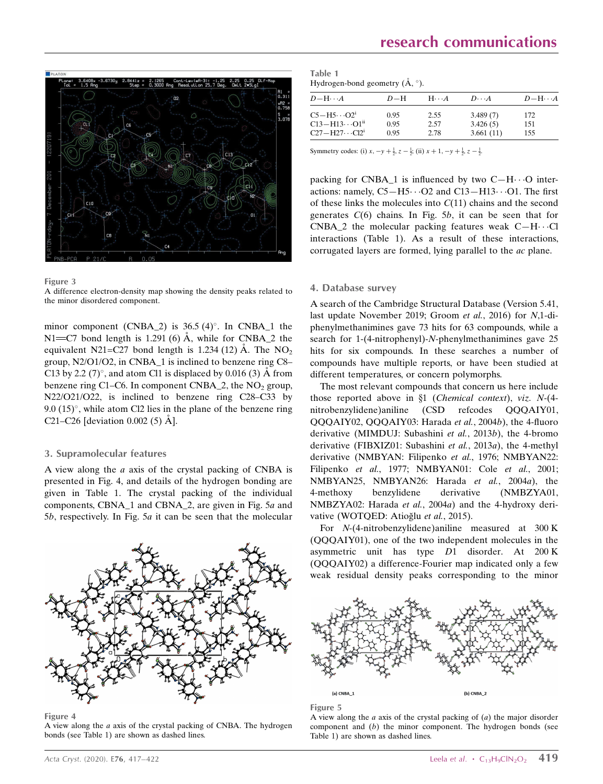

#### Figure 3

A difference electron-density map showing the density peaks related to the minor disordered component.

minor component (CNBA\_2) is  $36.5 (4)^\circ$ . In CNBA\_1 the N1= $C7$  bond length is 1.291 (6) Å, while for CNBA\_2 the equivalent N21=C27 bond length is 1.234 (12) Å. The  $NO<sub>2</sub>$ group, N2/O1/O2, in CNBA\_1 is inclined to benzene ring C8– C13 by 2.2 (7)°, and atom Cl1 is displaced by 0.016 (3) Å from benzene ring C1–C6. In component CNBA\_2, the  $NO<sub>2</sub>$  group, N22/O21/O22, is inclined to benzene ring C28–C33 by  $9.0$   $(15)^\circ$ , while atom Cl2 lies in the plane of the benzene ring C21–C26 [deviation 0.002 (5)  $\AA$ ].

#### 3. Supramolecular features

A view along the a axis of the crystal packing of CNBA is presented in Fig. 4, and details of the hydrogen bonding are given in Table 1. The crystal packing of the individual components, CBNA\_1 and CBNA\_2, are given in Fig. 5a and 5b, respectively. In Fig. 5a it can be seen that the molecular

#### Figure 4

A view along the a axis of the crystal packing of CNBA. The hydrogen bonds (see Table 1) are shown as dashed lines.

| Table 1                                 |  |
|-----------------------------------------|--|
| Hydrogen-bond geometry $(A, \degree)$ . |  |

| $D - H \cdots A$                  | $D-H$ | $H\cdots A$ | $D\cdots A$ | $D-H\cdots A$ |
|-----------------------------------|-------|-------------|-------------|---------------|
| $C5 - H5 \cdot \cdot \cdot O2^1$  | 0.95  | 2.55        | 3.489(7)    | 172           |
|                                   | 0.95  | 2.57        | 3.426(5)    | 151           |
| $C27-H27 \cdot \cdot \cdot C12^i$ | 0.95  | 2.78        | 3.661(11)   | 155           |

Symmetry codes: (i)  $x, -y + \frac{1}{2}, z - \frac{1}{2}$ ; (ii)  $x + 1, -y + \frac{1}{2}, z - \frac{1}{2}$ .

packing for CNBA\_1 is influenced by two  $C-H\cdots O$  interactions: namely,  $C5 - H5 \cdots O2$  and  $C13 - H13 \cdots O1$ . The first of these links the molecules into  $C(11)$  chains and the second generates  $C(6)$  chains. In Fig. 5b, it can be seen that for CNBA\_2 the molecular packing features weak  $C-H\cdots$ Cl interactions (Table 1). As a result of these interactions, corrugated layers are formed, lying parallel to the ac plane.

#### 4. Database survey

A search of the Cambridge Structural Database (Version 5.41, last update November 2019; Groom et al., 2016) for N,1-diphenylmethanimines gave 73 hits for 63 compounds, while a search for 1-(4-nitrophenyl)-N-phenylmethanimines gave 25 hits for six compounds. In these searches a number of compounds have multiple reports, or have been studied at different temperatures, or concern polymorphs.

The most relevant compounds that concern us here include those reported above in  $\S1$  (Chemical context), viz. N-(4nitrobenzylidene)aniline (CSD refcodes QQQAIY01, QQQAIY02, QQQAIY03: Harada et al., 2004b), the 4-fluoro derivative (MIMDUJ: Subashini et al., 2013b), the 4-bromo derivative (FIBXIZ01: Subashini et al., 2013a), the 4-methyl derivative (NMBYAN: Filipenko et al., 1976; NMBYAN22: Filipenko et al., 1977; NMBYAN01: Cole et al., 2001; NMBYAN25, NMBYAN26: Harada et al., 2004a), the 4-methoxy benzylidene derivative (NMBZYA01, NMBZYA02: Harada et al., 2004a) and the 4-hydroxy derivative (WOTQED: Atioğlu et al., 2015).

For N-(4-nitrobenzylidene)aniline measured at 300 K (QQQAIY01), one of the two independent molecules in the asymmetric unit has type D1 disorder. At 200 K (QQQAIY02) a difference-Fourier map indicated only a few weak residual density peaks corresponding to the minor



#### Figure 5

A view along the  $a$  axis of the crystal packing of  $(a)$  the major disorder component and (b) the minor component. The hydrogen bonds (see Table 1) are shown as dashed lines.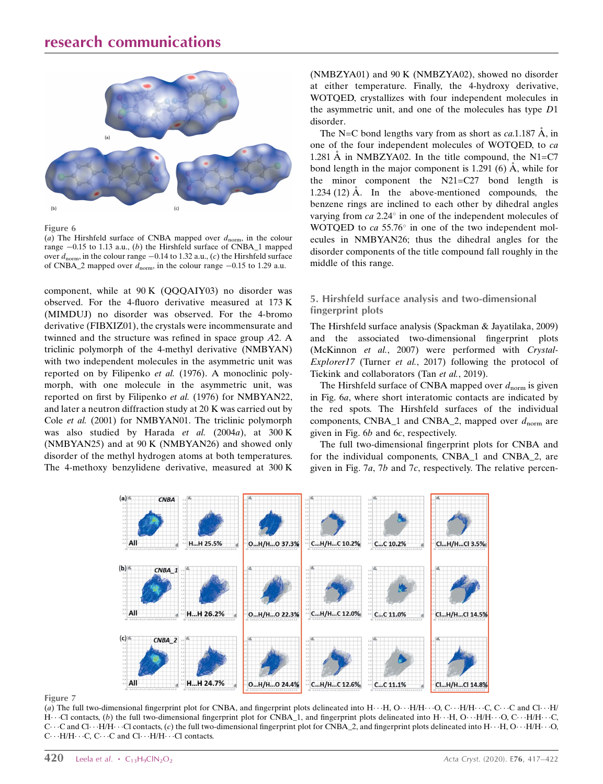

Figure 6

(a) The Hirshfeld surface of CNBA mapped over  $d_{\text{norm}}$ , in the colour range  $-0.15$  to 1.13 a.u., (b) the Hirshfeld surface of CNBA\_1 mapped over  $d_{\text{norm}}$ , in the colour range  $-0.14$  to 1.32 a.u., (c) the Hirshfeld surface of CNBA\_2 mapped over  $d_{\text{norm}}$ , in the colour range  $-0.15$  to 1.29 a.u.

component, while at 90 K (QQQAIY03) no disorder was observed. For the 4-fluoro derivative measured at 173 K (MIMDUJ) no disorder was observed. For the 4-bromo derivative (FIBXIZ01), the crystals were incommensurate and twinned and the structure was refined in space group A2. A triclinic polymorph of the 4-methyl derivative (NMBYAN) with two independent molecules in the asymmetric unit was reported on by Filipenko et al. (1976). A monoclinic polymorph, with one molecule in the asymmetric unit, was reported on first by Filipenko et al. (1976) for NMBYAN22, and later a neutron diffraction study at 20 K was carried out by Cole et al. (2001) for NMBYAN01. The triclinic polymorph was also studied by Harada et al.  $(2004a)$ , at 300 K (NMBYAN25) and at 90 K (NMBYAN26) and showed only disorder of the methyl hydrogen atoms at both temperatures. The 4-methoxy benzylidene derivative, measured at 300 K (NMBZYA01) and 90 K (NMBZYA02), showed no disorder at either temperature. Finally, the 4-hydroxy derivative, WOTQED, crystallizes with four independent molecules in the asymmetric unit, and one of the molecules has type D1 disorder.

The N=C bond lengths vary from as short as  $ca.1.187 \text{ Å}$ , in one of the four independent molecules of WOTQED, to ca 1.281 A in NMBZYA02. In the title compound, the N1=C7 bond length in the major component is 1.291 (6)  $\AA$ , while for the minor component the N21=C27 bond length is 1.234 (12)  $\AA$ . In the above-mentioned compounds, the benzene rings are inclined to each other by dihedral angles varying from  $ca$  2.24 $^{\circ}$  in one of the independent molecules of WOTQED to  $ca$  55.76 $^{\circ}$  in one of the two independent molecules in NMBYAN26; thus the dihedral angles for the disorder components of the title compound fall roughly in the middle of this range.

#### 5. Hirshfeld surface analysis and two-dimensional fingerprint plots

The Hirshfeld surface analysis (Spackman & Jayatilaka, 2009) and the associated two-dimensional fingerprint plots (McKinnon et al., 2007) were performed with Crystal-Explorer17 (Turner et al., 2017) following the protocol of Tiekink and collaborators (Tan et al., 2019).

The Hirshfeld surface of CNBA mapped over  $d_{\text{norm}}$  is given in Fig. 6a, where short interatomic contacts are indicated by the red spots. The Hirshfeld surfaces of the individual components, CNBA\_1 and CNBA\_2, mapped over  $d_{norm}$  are given in Fig. 6b and 6c, respectively.

The full two-dimensional fingerprint plots for CNBA and for the individual components, CNBA\_1 and CNBA\_2, are given in Fig. 7a, 7b and 7c, respectively. The relative percen-



Figure 7

(a) The full two-dimensional fingerprint plot for CNBA, and fingerprint plots delineated into  $H_1 \cdot H_2$ ,  $O_2 \cdot H_1H_2 \cdot O_2 \cdot O_3$ . C. C. C. C. and  $Cl_2 \cdot H_1$ H $\cdots$ Cl contacts, (b) the full two-dimensional fingerprint plot for CNBA\_1, and fingerprint plots delineated into H $\cdots$ H, O $\cdots$ H/H $\cdots$ O, C $\cdots$ H/H $\cdots$ C,  $C \cdots C$  and  $Cl \cdots H/H \cdots Cl$  contacts, (c) the full two-dimensional fingerprint plot for CNBA\_2, and fingerprint plots delineated into  $H \cdots H$ ,  $O \cdots H/H \cdots O$ ,  $C \cdot \cdot H/H \cdot \cdot \cdot C$ ,  $C \cdot \cdot \cdot C$  and  $Cl \cdot \cdot \cdot H/H \cdot \cdot \cdot Cl$  contacts.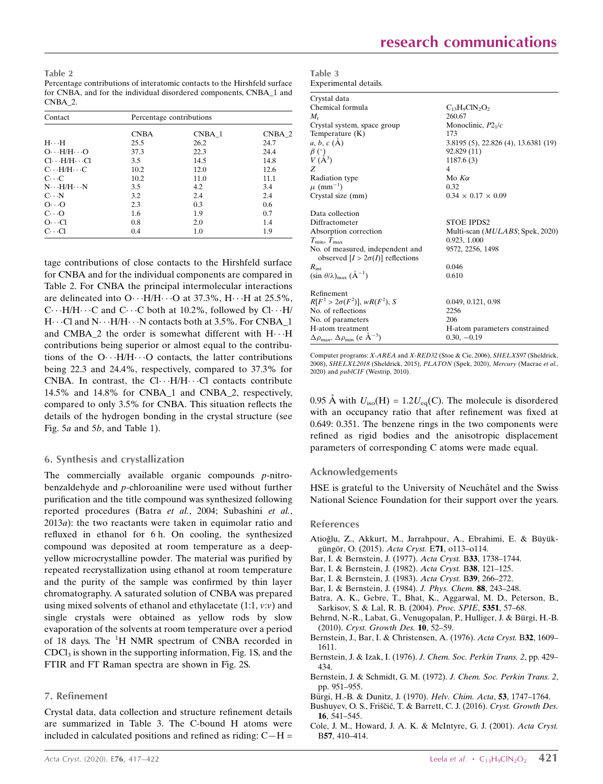Table 2 Percentage contributions of interatomic contacts to the Hirshfeld surface for CNBA, and for the individual disordered components, CNBA\_1 and CNBA\_2.

| Contact                                 | Percentage contributions |        |          |  |  |
|-----------------------------------------|--------------------------|--------|----------|--|--|
|                                         | <b>CNBA</b>              | CNBA 1 | $CNBA_2$ |  |  |
| $H \cdot \cdot H$                       | 25.5                     | 26.2   | 24.7     |  |  |
| $O \cdot \cdot H/H \cdot \cdot \cdot O$ | 37.3                     | 22.3   | 24.4     |  |  |
| $Cl \cdot \cdot H/H \cdot \cdot Cl$     | 3.5                      | 14.5   | 14.8     |  |  |
| $C \cdot \cdot H/H \cdot \cdot \cdot C$ | 10.2                     | 12.0   | 12.6     |  |  |
| $C \cdot C$                             | 10.2                     | 11.0   | 11.1     |  |  |
| $N \cdot \cdot H/H \cdot \cdot N$       | 3.5                      | 4.2    | 3.4      |  |  |
| $C \cdot N$                             | 3.2                      | 2.4    | 2.4      |  |  |
| $O \cdot \cdot \cdot O$                 | 2.3                      | 0.3    | 0.6      |  |  |
| $C\cdot\cdot O$                         | 1.6                      | 1.9    | 0.7      |  |  |
| $O \cdot \cdot \cdot Cl$                | 0.8                      | 2.0    | 1.4      |  |  |
| $C \cdot \cdot C1$                      | 0.4                      | 1.0    | 1.9      |  |  |

tage contributions of close contacts to the Hirshfeld surface for CNBA and for the individual components are compared in Table 2. For CNBA the principal intermolecular interactions are delineated into  $O \cdot \cdot H/H \cdot \cdot \cdot O$  at 37.3%,  $H \cdot \cdot \cdot H$  at 25.5%,  $C \cdots H/H \cdots C$  and  $C \cdots C$  both at 10.2%, followed by  $Cl \cdots H/H$  $H\cdots$ Cl and  $N\cdots H/H\cdots N$  contacts both at 3.5%. For CNBA\_1 and CMBA\_2 the order is somewhat different with  $H \cdots H$ contributions being superior or almost equal to the contributions of the  $O \cdot \cdot H/H \cdot \cdot \cdot O$  contacts, the latter contributions being 22.3 and 24.4%, respectively, compared to 37.3% for CNBA. In contrast, the  $Cl \cdots H/H \cdots Cl$  contacts contribute 14.5% and 14.8% for CNBA\_1 and CNBA\_2, respectively, compared to only 3.5% for CNBA. This situation reflects the details of the hydrogen bonding in the crystal structure (see Fig. 5a and 5b, and Table 1).

#### 6. Synthesis and crystallization

The commercially available organic compounds  $p$ -nitrobenzaldehyde and p-chloroaniline were used without further purification and the title compound was synthesized following reported procedures (Batra et al., 2004; Subashini et al., 2013a): the two reactants were taken in equimolar ratio and refluxed in ethanol for 6 h. On cooling, the synthesized compound was deposited at room temperature as a deepyellow microcrystalline powder. The material was purified by repeated recrystallization using ethanol at room temperature and the purity of the sample was confirmed by thin layer chromatography. A saturated solution of CNBA was prepared using mixed solvents of ethanol and ethylacetate  $(1:1, v:v)$  and single crystals were obtained as yellow rods by slow evaporation of the solvents at room temperature over a period of 18 days. The <sup>1</sup>H NMR spectrum of CNBA recorded in  $CDCl<sub>3</sub>$  is shown in the supporting information, Fig. 1S, and the FTIR and FT Raman spectra are shown in Fig. 2S.

#### 7. Refinement

Crystal data, data collection and structure refinement details are summarized in Table 3. The C-bound H atoms were included in calculated positions and refined as riding:  $C-H =$ 

| Table 3               |
|-----------------------|
| Experimental details. |

| Crystal data                                                               |                                          |
|----------------------------------------------------------------------------|------------------------------------------|
| Chemical formula                                                           | $C_{13}H_9ClN_2O_2$                      |
| M.                                                                         | 260.67                                   |
| Crystal system, space group                                                | Monoclinic, $P21/c$                      |
| Temperature (K)                                                            | 173                                      |
| $a, b, c (\AA)$                                                            | 3.8195 (5), 22.826 (4), 13.6381 (19)     |
|                                                                            | 92.829 (11)                              |
| $\begin{array}{c} \beta \ (\hat{\ }) \\ V (A^3) \end{array}$               | 1187.6(3)                                |
| Z                                                                          | 4                                        |
| Radiation type                                                             | Mo $K\alpha$                             |
| $\mu$ (mm <sup>-1</sup> )                                                  | 0.32                                     |
| Crystal size (mm)                                                          | $0.34 \times 0.17 \times 0.09$           |
| Data collection                                                            |                                          |
| Diffractometer                                                             | <b>STOE IPDS2</b>                        |
| Absorption correction                                                      | Multi-scan ( <i>MULABS</i> ; Spek, 2020) |
| $T_{\min}, T_{\max}$                                                       | 0.923, 1.000                             |
| No. of measured, independent and                                           | 9572, 2256, 1498                         |
| observed $[I > 2\sigma(I)]$ reflections                                    |                                          |
| $R_{\rm int}$                                                              | 0.046                                    |
| $(\sin \theta/\lambda)_{\text{max}}$ $(\AA^{-1})$                          | 0.610                                    |
| Refinement                                                                 |                                          |
| $R[F^2 > 2\sigma(F^2)], wR(F^2), S$                                        | 0.049, 0.121, 0.98                       |
| No. of reflections                                                         | 2256                                     |
| No. of parameters                                                          | 206                                      |
| H-atom treatment                                                           | H-atom parameters constrained            |
| $\Delta\rho_{\text{max}}$ , $\Delta\rho_{\text{min}}$ (e Å <sup>-3</sup> ) | $0.30, -0.19$                            |

Computer programs: X-AREA and X-RED32 (Stoe & Cie, 2006), SHELXS97 (Sheldrick, 2008), SHELXL2018 (Sheldrick, 2015), PLATON (Spek, 2020), Mercury (Macrae et al., 2020) and publCIF (Westrip, 2010).

0.95 Å with  $U_{\text{iso}}(H) = 1.2 U_{\text{eq}}(C)$ . The molecule is disordered with an occupancy ratio that after refinement was fixed at 0.649: 0.351. The benzene rings in the two components were refined as rigid bodies and the anisotropic displacement parameters of corresponding C atoms were made equal.

#### Acknowledgements

HSE is grateful to the University of Neuchâtel and the Swiss National Science Foundation for their support over the years.

#### References

- Atioğlu, Z., Akkurt, M., Jarrahpour, A., Ebrahimi, E. & Büyükgüngör, O. (2015). Acta Cryst. E71, o113-o114.
- [Bar, I. & Bernstein, J. \(1977\).](http://scripts.iucr.org/cgi-bin/cr.cgi?rm=pdfbb&cnor=hb7888&bbid=BB2) Acta Cryst. B33, 1738–1744.
- [Bar, I. & Bernstein, J. \(1982\).](http://scripts.iucr.org/cgi-bin/cr.cgi?rm=pdfbb&cnor=hb7888&bbid=BB3) Acta Cryst. B38, 121–125.
- [Bar, I. & Bernstein, J. \(1983\).](http://scripts.iucr.org/cgi-bin/cr.cgi?rm=pdfbb&cnor=hb7888&bbid=BB4) Acta Cryst. B39, 266–272.
- [Bar, I. & Bernstein, J. \(1984\).](http://scripts.iucr.org/cgi-bin/cr.cgi?rm=pdfbb&cnor=hb7888&bbid=BB5) J. Phys. Chem. 88, 243–248.
- [Batra, A. K., Gebre, T., Bhat, K., Aggarwal, M. D., Peterson, B.,](http://scripts.iucr.org/cgi-bin/cr.cgi?rm=pdfbb&cnor=hb7888&bbid=BB6) [Sarkisov, S. & Lal, R. B. \(2004\).](http://scripts.iucr.org/cgi-bin/cr.cgi?rm=pdfbb&cnor=hb7888&bbid=BB6) Proc. SPIE, 5351, 57–68.
- Behrnd, N.-R., Labat, G., Venugopalan, P., Hulliger, J. & Bürgi, H.-B. (2010). [Cryst. Growth Des.](http://scripts.iucr.org/cgi-bin/cr.cgi?rm=pdfbb&cnor=hb7888&bbid=BB7) 10, 52–59.
- [Bernstein, J., Bar, I. & Christensen, A. \(1976\).](http://scripts.iucr.org/cgi-bin/cr.cgi?rm=pdfbb&cnor=hb7888&bbid=BB8) Acta Cryst. B32, 1609– [1611.](http://scripts.iucr.org/cgi-bin/cr.cgi?rm=pdfbb&cnor=hb7888&bbid=BB8)
- [Bernstein, J. & Izak, I. \(1976\).](http://scripts.iucr.org/cgi-bin/cr.cgi?rm=pdfbb&cnor=hb7888&bbid=BB9) J. Chem. Soc. Perkin Trans. 2, pp. 429– [434.](http://scripts.iucr.org/cgi-bin/cr.cgi?rm=pdfbb&cnor=hb7888&bbid=BB9)
- [Bernstein, J. & Schmidt, G. M. \(1972\).](http://scripts.iucr.org/cgi-bin/cr.cgi?rm=pdfbb&cnor=hb7888&bbid=BB10) J. Chem. Soc. Perkin Trans. 2, [pp. 951–955.](http://scripts.iucr.org/cgi-bin/cr.cgi?rm=pdfbb&cnor=hb7888&bbid=BB10)
- Bürgi, H.-B. & Dunitz, J. (1970). Helv. Chim. Acta, 53, 1747-1764.
- Bushuyev, O. S., Friščić, T. & Barrett, C. J. (2016). Cryst. Growth Des. 16[, 541–545.](http://scripts.iucr.org/cgi-bin/cr.cgi?rm=pdfbb&cnor=hb7888&bbid=BB12)
- [Cole, J. M., Howard, J. A. K. & McIntyre, G. J. \(2001\).](http://scripts.iucr.org/cgi-bin/cr.cgi?rm=pdfbb&cnor=hb7888&bbid=BB13) Acta Cryst. B57[, 410–414.](http://scripts.iucr.org/cgi-bin/cr.cgi?rm=pdfbb&cnor=hb7888&bbid=BB13)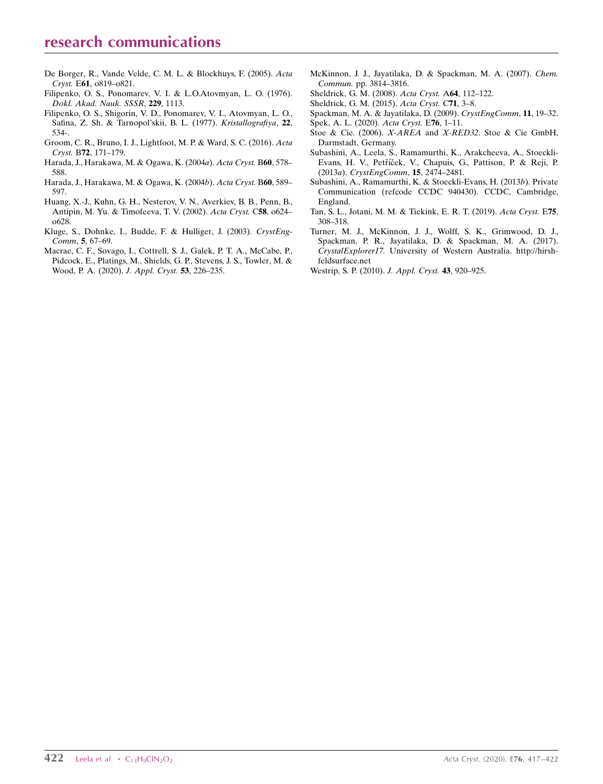# research communications

- [De Borger, R., Vande Velde, C. M. L. & Blockhuys, F. \(2005\).](http://scripts.iucr.org/cgi-bin/cr.cgi?rm=pdfbb&cnor=hb7888&bbid=BB32) Acta Cryst. E61[, o819–o821.](http://scripts.iucr.org/cgi-bin/cr.cgi?rm=pdfbb&cnor=hb7888&bbid=BB32)
- [Filipenko, O. S., Ponomarev, V. I. & L.O.Atovmyan, L. O. \(1976\).](http://scripts.iucr.org/cgi-bin/cr.cgi?rm=pdfbb&cnor=hb7888&bbid=BB15) [Dokl. Akad. Nauk. SSSR](http://scripts.iucr.org/cgi-bin/cr.cgi?rm=pdfbb&cnor=hb7888&bbid=BB15), 229, 1113.
- [Filipenko, O. S., Shigorin, V. D., Ponomarev, V. I., Atovmyan, L. O.,](http://scripts.iucr.org/cgi-bin/cr.cgi?rm=pdfbb&cnor=hb7888&bbid=BB16) [Safina, Z. Sh. & Tarnopol'skii, B. L. \(1977\).](http://scripts.iucr.org/cgi-bin/cr.cgi?rm=pdfbb&cnor=hb7888&bbid=BB16) Kristallografiya, 22, [534-.](http://scripts.iucr.org/cgi-bin/cr.cgi?rm=pdfbb&cnor=hb7888&bbid=BB16)
- [Groom, C. R., Bruno, I. J., Lightfoot, M. P. & Ward, S. C. \(2016\).](http://scripts.iucr.org/cgi-bin/cr.cgi?rm=pdfbb&cnor=hb7888&bbid=BB17) Acta Cryst. B72[, 171–179.](http://scripts.iucr.org/cgi-bin/cr.cgi?rm=pdfbb&cnor=hb7888&bbid=BB17)
- [Harada, J., Harakawa, M. & Ogawa, K. \(2004](http://scripts.iucr.org/cgi-bin/cr.cgi?rm=pdfbb&cnor=hb7888&bbid=BB18)a). Acta Cryst. B60, 578– [588.](http://scripts.iucr.org/cgi-bin/cr.cgi?rm=pdfbb&cnor=hb7888&bbid=BB18)
- [Harada, J., Harakawa, M. & Ogawa, K. \(2004](http://scripts.iucr.org/cgi-bin/cr.cgi?rm=pdfbb&cnor=hb7888&bbid=BB19)b). Acta Cryst. B60, 589– [597.](http://scripts.iucr.org/cgi-bin/cr.cgi?rm=pdfbb&cnor=hb7888&bbid=BB19)
- [Huang, X.-J., Kuhn, G. H., Nesterov, V. N., Averkiev, B. B., Penn, B.,](http://scripts.iucr.org/cgi-bin/cr.cgi?rm=pdfbb&cnor=hb7888&bbid=BB20) [Antipin, M. Yu. & Timofeeva, T. V. \(2002\).](http://scripts.iucr.org/cgi-bin/cr.cgi?rm=pdfbb&cnor=hb7888&bbid=BB20) Acta Cryst. C58, o624– [o628.](http://scripts.iucr.org/cgi-bin/cr.cgi?rm=pdfbb&cnor=hb7888&bbid=BB20)
- [Kluge, S., Dohnke, I., Budde, F. & Hulliger, J. \(2003\).](http://scripts.iucr.org/cgi-bin/cr.cgi?rm=pdfbb&cnor=hb7888&bbid=BB21) CrystEng-Comm, 5[, 67–69.](http://scripts.iucr.org/cgi-bin/cr.cgi?rm=pdfbb&cnor=hb7888&bbid=BB21)
- [Macrae, C. F., Sovago, I., Cottrell, S. J., Galek, P. T. A., McCabe, P.,](http://scripts.iucr.org/cgi-bin/cr.cgi?rm=pdfbb&cnor=hb7888&bbid=BB22) [Pidcock, E., Platings, M., Shields, G. P., Stevens, J. S., Towler, M. &](http://scripts.iucr.org/cgi-bin/cr.cgi?rm=pdfbb&cnor=hb7888&bbid=BB22) [Wood, P. A. \(2020\).](http://scripts.iucr.org/cgi-bin/cr.cgi?rm=pdfbb&cnor=hb7888&bbid=BB22) J. Appl. Cryst. 53, 226–235.
- [McKinnon, J. J., Jayatilaka, D. & Spackman, M. A. \(2007\).](http://scripts.iucr.org/cgi-bin/cr.cgi?rm=pdfbb&cnor=hb7888&bbid=BB23) Chem. Commun. [pp. 3814–3816.](http://scripts.iucr.org/cgi-bin/cr.cgi?rm=pdfbb&cnor=hb7888&bbid=BB23)
- [Sheldrick, G. M. \(2008\).](http://scripts.iucr.org/cgi-bin/cr.cgi?rm=pdfbb&cnor=hb7888&bbid=BB24) Acta Cryst. A64, 112–122.
- [Sheldrick, G. M. \(2015\).](http://scripts.iucr.org/cgi-bin/cr.cgi?rm=pdfbb&cnor=hb7888&bbid=BB25) Acta Cryst. C71, 3–8.
- [Spackman, M. A. & Jayatilaka, D. \(2009\).](http://scripts.iucr.org/cgi-bin/cr.cgi?rm=pdfbb&cnor=hb7888&bbid=BB26) CrystEngComm, 11, 19–32.
- [Spek, A. L. \(2020\).](http://scripts.iucr.org/cgi-bin/cr.cgi?rm=pdfbb&cnor=hb7888&bbid=BB27) Acta Cryst. E76, 1–11.
- Stoe & Cie. (2006). X-AREA and X-RED32[. Stoe & Cie GmbH,](http://scripts.iucr.org/cgi-bin/cr.cgi?rm=pdfbb&cnor=hb7888&bbid=BB28) [Darmstadt, Germany.](http://scripts.iucr.org/cgi-bin/cr.cgi?rm=pdfbb&cnor=hb7888&bbid=BB28)
- [Subashini, A., Leela, S., Ramamurthi, K., Arakcheeva, A., Stoeckli-](http://scripts.iucr.org/cgi-bin/cr.cgi?rm=pdfbb&cnor=hb7888&bbid=BB29)Evans, H. V., Petříček, V., Chapuis, G., Pattison, P. & Reji, P. (2013a). [CrystEngComm](http://scripts.iucr.org/cgi-bin/cr.cgi?rm=pdfbb&cnor=hb7888&bbid=BB29), 15, 2474–2481.
- [Subashini, A., Ramamurthi, K. & Stoeckli-Evans, H. \(2013](http://scripts.iucr.org/cgi-bin/cr.cgi?rm=pdfbb&cnor=hb7888&bbid=BB30)b). Private [Communication \(refcode CCDC 940430\). CCDC, Cambridge,](http://scripts.iucr.org/cgi-bin/cr.cgi?rm=pdfbb&cnor=hb7888&bbid=BB30) [England.](http://scripts.iucr.org/cgi-bin/cr.cgi?rm=pdfbb&cnor=hb7888&bbid=BB30)
- [Tan, S. L., Jotani, M. M. & Tiekink, E. R. T. \(2019\).](http://scripts.iucr.org/cgi-bin/cr.cgi?rm=pdfbb&cnor=hb7888&bbid=BB31) Acta Cryst. E75, [308–318.](http://scripts.iucr.org/cgi-bin/cr.cgi?rm=pdfbb&cnor=hb7888&bbid=BB31)
- [Turner, M. J., McKinnon, J. J., Wolff, S. K., Grimwood, D. J.,](http://scripts.iucr.org/cgi-bin/cr.cgi?rm=pdfbb&cnor=hb7888&bbid=BB32) [Spackman, P. R., Jayatilaka, D. & Spackman, M. A. \(2017\).](http://scripts.iucr.org/cgi-bin/cr.cgi?rm=pdfbb&cnor=hb7888&bbid=BB32) CrystalExplorer17. [University of Western Australia. http://hirsh](http://scripts.iucr.org/cgi-bin/cr.cgi?rm=pdfbb&cnor=hb7888&bbid=BB32)[feldsurface.net](http://scripts.iucr.org/cgi-bin/cr.cgi?rm=pdfbb&cnor=hb7888&bbid=BB32)
- [Westrip, S. P. \(2010\).](http://scripts.iucr.org/cgi-bin/cr.cgi?rm=pdfbb&cnor=hb7888&bbid=BB33) J. Appl. Cryst. 43, 920–925.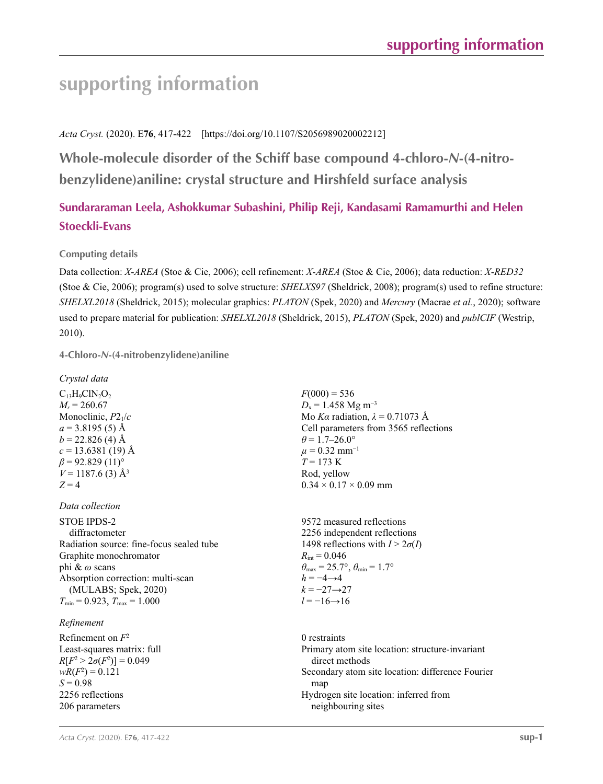# **supporting information**

# *Acta Cryst.* (2020). E**76**, 417-422 [https://doi.org/10.1107/S2056989020002212]

**Whole-molecule disorder of the Schiff base compound 4-chloro-***N***-(4-nitrobenzylidene)aniline: crystal structure and Hirshfeld surface analysis**

# **Sundararaman Leela, Ashokkumar Subashini, Philip Reji, Kandasami Ramamurthi and Helen Stoeckli-Evans**

# **Computing details**

Data collection: *X*-*AREA* (Stoe & Cie, 2006); cell refinement: *X*-*AREA* (Stoe & Cie, 2006); data reduction: *X*-*RED32* (Stoe & Cie, 2006); program(s) used to solve structure: *SHELXS97* (Sheldrick, 2008); program(s) used to refine structure: *SHELXL2018* (Sheldrick, 2015); molecular graphics: *PLATON* (Spek, 2020) and *Mercury* (Macrae *et al.*, 2020); software used to prepare material for publication: *SHELXL2018* (Sheldrick, 2015), *PLATON* (Spek, 2020) and *publCIF* (Westrip, 2010).

### **4-Chloro-***N***-(4-nitrobenzylidene)aniline**

| Crysiai aaia                       |
|------------------------------------|
| $C_{13}H_9ClN_2O_2$                |
| $M_r = 260.67$                     |
| Monoclinic, P21/c                  |
| $a = 3.8195(5)$ Å                  |
| $b = 22.826$ (4) Å                 |
| $c = 13.6381(19)$ Å                |
| $\beta$ = 92.829 (11) <sup>o</sup> |
| $V = 1187.6$ (3) Å <sup>3</sup>    |
| $Z = 4$                            |

*Crystal data*

#### *Data collection*

STOE IPDS-2 diffractometer Radiation source: fine-focus sealed tube Graphite monochromator phi & *ω* scans Absorption correction: multi-scan (MULABS; Spek, 2020)  $T_{\text{min}} = 0.923$ ,  $T_{\text{max}} = 1.000$ 

#### *Refinement*

Refinement on *F*<sup>2</sup> Least-squares matrix: full  $R[F^2 > 2\sigma(F^2)] = 0.049$  $wR(F^2) = 0.121$  $S = 0.98$ 2256 reflections 206 parameters

 $F(000) = 536$  $D_x = 1.458$  Mg m<sup>-3</sup> Mo *Kα* radiation, *λ* = 0.71073 Å Cell parameters from 3565 reflections  $\theta$  = 1.7–26.0°  $\mu$  = 0.32 mm<sup>-1</sup>  $T = 173$  K Rod, yellow  $0.34 \times 0.17 \times 0.09$  mm

9572 measured reflections 2256 independent reflections 1498 reflections with  $I > 2\sigma(I)$  $R_{\text{int}} = 0.046$  $\theta_{\text{max}} = 25.7^{\circ}, \theta_{\text{min}} = 1.7^{\circ}$  $h = -4 \rightarrow 4$  $k = -27 \rightarrow 27$  $l = -16 \rightarrow 16$ 

0 restraints Primary atom site location: structure-invariant direct methods Secondary atom site location: difference Fourier map Hydrogen site location: inferred from neighbouring sites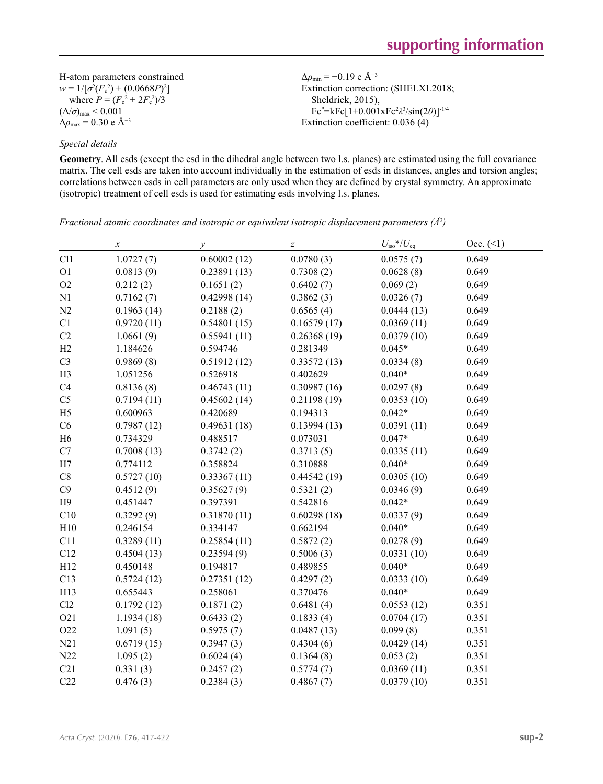H-atom parameters constrained  $w = 1/[\sigma^2 (F_o^2) + (0.0668P)^2]$ where  $P = (F_o^2 + 2F_c^2)/3$  $(\Delta/\sigma)_{\text{max}}$  < 0.001  $\Delta\rho_{\text{max}} = 0.30 \text{ e A}^{-3}$ 

#### *Special details*

**Geometry**. All esds (except the esd in the dihedral angle between two l.s. planes) are estimated using the full covariance matrix. The cell esds are taken into account individually in the estimation of esds in distances, angles and torsion angles; correlations between esds in cell parameters are only used when they are defined by crystal symmetry. An approximate (isotropic) treatment of cell esds is used for estimating esds involving l.s. planes.

Δ*ρ*min = −0.19 e Å−3

Sheldrick, 2015),

Extinction correction: (SHELXL2018;

Fc\* =kFc[1+0.001xFc2 *λ*3 /sin(2*θ*)]-1/4 Extinction coefficient: 0.036 (4)

|                | $\boldsymbol{x}$ | $\mathcal{Y}$ | $\boldsymbol{Z}$ | $U_{\rm iso}*/U_{\rm eq}$ | $Occ. ( \le 1)$ |
|----------------|------------------|---------------|------------------|---------------------------|-----------------|
| Cl1            | 1.0727(7)        | 0.60002(12)   | 0.0780(3)        | 0.0575(7)                 | 0.649           |
| O <sub>1</sub> | 0.0813(9)        | 0.23891(13)   | 0.7308(2)        | 0.0628(8)                 | 0.649           |
| O2             | 0.212(2)         | 0.1651(2)     | 0.6402(7)        | 0.069(2)                  | 0.649           |
| N1             | 0.7162(7)        | 0.42998(14)   | 0.3862(3)        | 0.0326(7)                 | 0.649           |
| N2             | 0.1963(14)       | 0.2188(2)     | 0.6565(4)        | 0.0444(13)                | 0.649           |
| C1             | 0.9720(11)       | 0.54801(15)   | 0.16579(17)      | 0.0369(11)                | 0.649           |
| C2             | 1.0661(9)        | 0.55941(11)   | 0.26368(19)      | 0.0379(10)                | 0.649           |
| H2             | 1.184626         | 0.594746      | 0.281349         | $0.045*$                  | 0.649           |
| C <sub>3</sub> | 0.9869(8)        | 0.51912(12)   | 0.33572(13)      | 0.0334(8)                 | 0.649           |
| H <sub>3</sub> | 1.051256         | 0.526918      | 0.402629         | $0.040*$                  | 0.649           |
| C4             | 0.8136(8)        | 0.46743(11)   | 0.30987(16)      | 0.0297(8)                 | 0.649           |
| C <sub>5</sub> | 0.7194(11)       | 0.45602(14)   | 0.21198(19)      | 0.0353(10)                | 0.649           |
| H <sub>5</sub> | 0.600963         | 0.420689      | 0.194313         | $0.042*$                  | 0.649           |
| C6             | 0.7987(12)       | 0.49631(18)   | 0.13994(13)      | 0.0391(11)                | 0.649           |
| H <sub>6</sub> | 0.734329         | 0.488517      | 0.073031         | $0.047*$                  | 0.649           |
| $\mathbf{C}7$  | 0.7008(13)       | 0.3742(2)     | 0.3713(5)        | 0.0335(11)                | 0.649           |
| H7             | 0.774112         | 0.358824      | 0.310888         | $0.040*$                  | 0.649           |
| $\rm{C}8$      | 0.5727(10)       | 0.33367(11)   | 0.44542(19)      | 0.0305(10)                | 0.649           |
| C9             | 0.4512(9)        | 0.35627(9)    | 0.5321(2)        | 0.0346(9)                 | 0.649           |
| H9             | 0.451447         | 0.397391      | 0.542816         | $0.042*$                  | 0.649           |
| C10            | 0.3292(9)        | 0.31870(11)   | 0.60298(18)      | 0.0337(9)                 | 0.649           |
| H10            | 0.246154         | 0.334147      | 0.662194         | $0.040*$                  | 0.649           |
| C11            | 0.3289(11)       | 0.25854(11)   | 0.5872(2)        | 0.0278(9)                 | 0.649           |
| C12            | 0.4504(13)       | 0.23594(9)    | 0.5006(3)        | 0.0331(10)                | 0.649           |
| H12            | 0.450148         | 0.194817      | 0.489855         | $0.040*$                  | 0.649           |
| C13            | 0.5724(12)       | 0.27351(12)   | 0.4297(2)        | 0.0333(10)                | 0.649           |
| H13            | 0.655443         | 0.258061      | 0.370476         | $0.040*$                  | 0.649           |
| C12            | 0.1792(12)       | 0.1871(2)     | 0.6481(4)        | 0.0553(12)                | 0.351           |
| O21            | 1.1934(18)       | 0.6433(2)     | 0.1833(4)        | 0.0704(17)                | 0.351           |
| O22            | 1.091(5)         | 0.5975(7)     | 0.0487(13)       | 0.099(8)                  | 0.351           |
| N21            | 0.6719(15)       | 0.3947(3)     | 0.4304(6)        | 0.0429(14)                | 0.351           |
| N22            | 1.095(2)         | 0.6024(4)     | 0.1364(8)        | 0.053(2)                  | 0.351           |
| C21            | 0.331(3)         | 0.2457(2)     | 0.5774(7)        | 0.0369(11)                | 0.351           |
| C22            | 0.476(3)         | 0.2384(3)     | 0.4867(7)        | 0.0379(10)                | 0.351           |

*Fractional atomic coordinates and isotropic or equivalent isotropic displacement parameters (Å<sup>2</sup>)*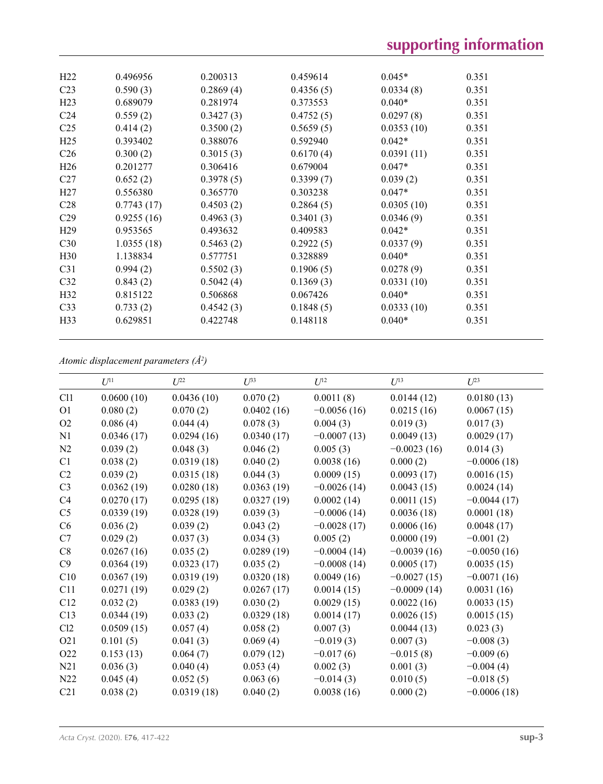| H22              | 0.496956   | 0.200313  | 0.459614  | $0.045*$   | 0.351 |  |
|------------------|------------|-----------|-----------|------------|-------|--|
| C <sub>23</sub>  | 0.590(3)   | 0.2869(4) | 0.4356(5) | 0.0334(8)  | 0.351 |  |
| H <sub>23</sub>  | 0.689079   | 0.281974  | 0.373553  | $0.040*$   | 0.351 |  |
| C <sub>24</sub>  | 0.559(2)   | 0.3427(3) | 0.4752(5) | 0.0297(8)  | 0.351 |  |
| C <sub>25</sub>  | 0.414(2)   | 0.3500(2) | 0.5659(5) | 0.0353(10) | 0.351 |  |
| H <sub>25</sub>  | 0.393402   | 0.388076  | 0.592940  | $0.042*$   | 0.351 |  |
| C <sub>26</sub>  | 0.300(2)   | 0.3015(3) | 0.6170(4) | 0.0391(11) | 0.351 |  |
| H <sub>26</sub>  | 0.201277   | 0.306416  | 0.679004  | $0.047*$   | 0.351 |  |
| C27              | 0.652(2)   | 0.3978(5) | 0.3399(7) | 0.039(2)   | 0.351 |  |
| H27              | 0.556380   | 0.365770  | 0.303238  | $0.047*$   | 0.351 |  |
| C <sub>28</sub>  | 0.7743(17) | 0.4503(2) | 0.2864(5) | 0.0305(10) | 0.351 |  |
| C <sub>29</sub>  | 0.9255(16) | 0.4963(3) | 0.3401(3) | 0.0346(9)  | 0.351 |  |
| H <sub>29</sub>  | 0.953565   | 0.493632  | 0.409583  | $0.042*$   | 0.351 |  |
| C30              | 1.0355(18) | 0.5463(2) | 0.2922(5) | 0.0337(9)  | 0.351 |  |
| H <sub>30</sub>  | 1.138834   | 0.577751  | 0.328889  | $0.040*$   | 0.351 |  |
| C <sub>31</sub>  | 0.994(2)   | 0.5502(3) | 0.1906(5) | 0.0278(9)  | 0.351 |  |
| C <sub>32</sub>  | 0.843(2)   | 0.5042(4) | 0.1369(3) | 0.0331(10) | 0.351 |  |
| H <sub>32</sub>  | 0.815122   | 0.506868  | 0.067426  | $0.040*$   | 0.351 |  |
| C <sub>33</sub>  | 0.733(2)   | 0.4542(3) | 0.1848(5) | 0.0333(10) | 0.351 |  |
| H <sub>3</sub> 3 | 0.629851   | 0.422748  | 0.148118  | $0.040*$   | 0.351 |  |
|                  |            |           |           |            |       |  |

*Atomic displacement parameters (Å2 )*

|                  | $U^{11}$   | $U^{22}$   | $U^{33}$   | $U^{12}$      | $U^{13}$      | $U^{23}$      |
|------------------|------------|------------|------------|---------------|---------------|---------------|
| C11              | 0.0600(10) | 0.0436(10) | 0.070(2)   | 0.0011(8)     | 0.0144(12)    | 0.0180(13)    |
| O <sub>1</sub>   | 0.080(2)   | 0.070(2)   | 0.0402(16) | $-0.0056(16)$ | 0.0215(16)    | 0.0067(15)    |
| O <sub>2</sub>   | 0.086(4)   | 0.044(4)   | 0.078(3)   | 0.004(3)      | 0.019(3)      | 0.017(3)      |
| N1               | 0.0346(17) | 0.0294(16) | 0.0340(17) | $-0.0007(13)$ | 0.0049(13)    | 0.0029(17)    |
| N2               | 0.039(2)   | 0.048(3)   | 0.046(2)   | 0.005(3)      | $-0.0023(16)$ | 0.014(3)      |
| C1               | 0.038(2)   | 0.0319(18) | 0.040(2)   | 0.0038(16)    | 0.000(2)      | $-0.0006(18)$ |
| C2               | 0.039(2)   | 0.0315(18) | 0.044(3)   | 0.0009(15)    | 0.0093(17)    | 0.0016(15)    |
| C <sub>3</sub>   | 0.0362(19) | 0.0280(18) | 0.0363(19) | $-0.0026(14)$ | 0.0043(15)    | 0.0024(14)    |
| C4               | 0.0270(17) | 0.0295(18) | 0.0327(19) | 0.0002(14)    | 0.0011(15)    | $-0.0044(17)$ |
| C <sub>5</sub>   | 0.0339(19) | 0.0328(19) | 0.039(3)   | $-0.0006(14)$ | 0.0036(18)    | 0.0001(18)    |
| C6               | 0.036(2)   | 0.039(2)   | 0.043(2)   | $-0.0028(17)$ | 0.0006(16)    | 0.0048(17)    |
| C7               | 0.029(2)   | 0.037(3)   | 0.034(3)   | 0.005(2)      | 0.0000(19)    | $-0.001(2)$   |
| C8               | 0.0267(16) | 0.035(2)   | 0.0289(19) | $-0.0004(14)$ | $-0.0039(16)$ | $-0.0050(16)$ |
| C9               | 0.0364(19) | 0.0323(17) | 0.035(2)   | $-0.0008(14)$ | 0.0005(17)    | 0.0035(15)    |
| C10              | 0.0367(19) | 0.0319(19) | 0.0320(18) | 0.0049(16)    | $-0.0027(15)$ | $-0.0071(16)$ |
| C11              | 0.0271(19) | 0.029(2)   | 0.0267(17) | 0.0014(15)    | $-0.0009(14)$ | 0.0031(16)    |
| C12              | 0.032(2)   | 0.0383(19) | 0.030(2)   | 0.0029(15)    | 0.0022(16)    | 0.0033(15)    |
| C13              | 0.0344(19) | 0.033(2)   | 0.0329(18) | 0.0014(17)    | 0.0026(15)    | 0.0015(15)    |
| Cl2              | 0.0509(15) | 0.057(4)   | 0.058(2)   | 0.007(3)      | 0.0044(13)    | 0.023(3)      |
| O <sub>2</sub> 1 | 0.101(5)   | 0.041(3)   | 0.069(4)   | $-0.019(3)$   | 0.007(3)      | $-0.008(3)$   |
| O <sub>22</sub>  | 0.153(13)  | 0.064(7)   | 0.079(12)  | $-0.017(6)$   | $-0.015(8)$   | $-0.009(6)$   |
| N21              | 0.036(3)   | 0.040(4)   | 0.053(4)   | 0.002(3)      | 0.001(3)      | $-0.004(4)$   |
| N22              | 0.045(4)   | 0.052(5)   | 0.063(6)   | $-0.014(3)$   | 0.010(5)      | $-0.018(5)$   |
| C21              | 0.038(2)   | 0.0319(18) | 0.040(2)   | 0.0038(16)    | 0.000(2)      | $-0.0006(18)$ |
|                  |            |            |            |               |               |               |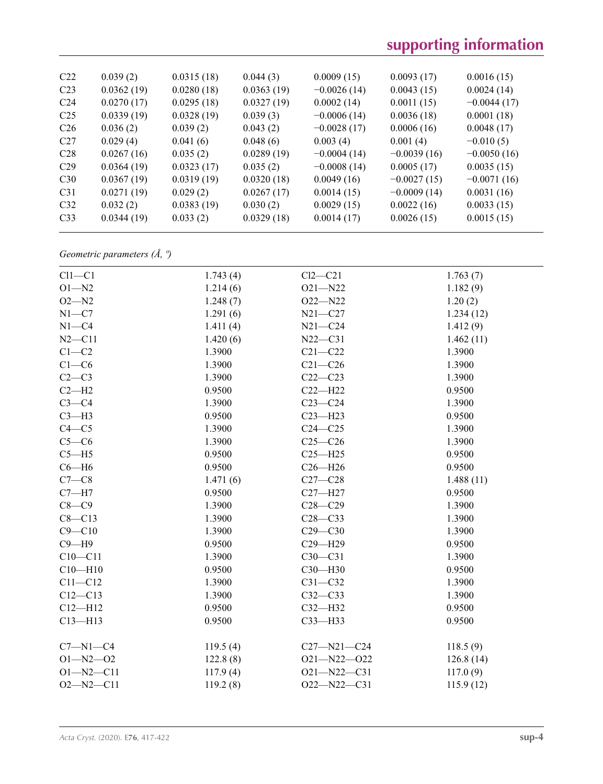| C22             | 0.039(2)   | 0.0315(18) | 0.044(3)   | 0.0009(15)    | 0.0093(17)    | 0.0016(15)    |
|-----------------|------------|------------|------------|---------------|---------------|---------------|
| C <sub>23</sub> | 0.0362(19) | 0.0280(18) | 0.0363(19) | $-0.0026(14)$ | 0.0043(15)    | 0.0024(14)    |
| C <sub>24</sub> | 0.0270(17) | 0.0295(18) | 0.0327(19) | 0.0002(14)    | 0.0011(15)    | $-0.0044(17)$ |
| C <sub>25</sub> | 0.0339(19) | 0.0328(19) | 0.039(3)   | $-0.0006(14)$ | 0.0036(18)    | 0.0001(18)    |
| C <sub>26</sub> | 0.036(2)   | 0.039(2)   | 0.043(2)   | $-0.0028(17)$ | 0.0006(16)    | 0.0048(17)    |
| C27             | 0.029(4)   | 0.041(6)   | 0.048(6)   | 0.003(4)      | 0.001(4)      | $-0.010(5)$   |
| C28             | 0.0267(16) | 0.035(2)   | 0.0289(19) | $-0.0004(14)$ | $-0.0039(16)$ | $-0.0050(16)$ |
| C <sub>29</sub> | 0.0364(19) | 0.0323(17) | 0.035(2)   | $-0.0008(14)$ | 0.0005(17)    | 0.0035(15)    |
| C30             | 0.0367(19) | 0.0319(19) | 0.0320(18) | 0.0049(16)    | $-0.0027(15)$ | $-0.0071(16)$ |
| C <sub>31</sub> | 0.0271(19) | 0.029(2)   | 0.0267(17) | 0.0014(15)    | $-0.0009(14)$ | 0.0031(16)    |
| C <sub>32</sub> | 0.032(2)   | 0.0383(19) | 0.030(2)   | 0.0029(15)    | 0.0022(16)    | 0.0033(15)    |
| C <sub>33</sub> | 0.0344(19) | 0.033(2)   | 0.0329(18) | 0.0014(17)    | 0.0026(15)    | 0.0015(15)    |
|                 |            |            |            |               |               |               |

*Geometric parameters (Å, º)*

| $Cl1-C1$        | 1.743(4) | $Cl2-C21$         | 1.763(7)  |
|-----------------|----------|-------------------|-----------|
| $O1 - N2$       | 1.214(6) | $O21 - N22$       | 1.182(9)  |
| $O2 - N2$       | 1.248(7) | $O22 - N22$       | 1.20(2)   |
| $N1 - C7$       | 1.291(6) | $N21 - C27$       | 1.234(12) |
| $N1 - C4$       | 1.411(4) | $N21 - C24$       | 1.412(9)  |
| $N2 - C11$      | 1.420(6) | $N22 - C31$       | 1.462(11) |
| $C1-C2$         | 1.3900   | $C21 - C22$       | 1.3900    |
| $C1-C6$         | 1.3900   | $C21 - C26$       | 1.3900    |
| $C2-C3$         | 1.3900   | $C22-C23$         | 1.3900    |
| $C2-H2$         | 0.9500   | $C22 - H22$       | 0.9500    |
| $C3-C4$         | 1.3900   | $C23-C24$         | 1.3900    |
| $C3-H3$         | 0.9500   | $C23 - H23$       | 0.9500    |
| $C4 - C5$       | 1.3900   | $C24 - C25$       | 1.3900    |
| $C5-C6$         | 1.3900   | $C25-C26$         | 1.3900    |
| $C5 - H5$       | 0.9500   | $C25 - H25$       | 0.9500    |
| $C6 - H6$       | 0.9500   | $C26 - H26$       | 0.9500    |
| $C7-C8$         | 1.471(6) | $C27-C28$         | 1.488(11) |
| $C7 - H7$       | 0.9500   | $C27 - H27$       | 0.9500    |
| $C8-C9$         | 1.3900   | $C28 - C29$       | 1.3900    |
| $C8 - C13$      | 1.3900   | $C28-C33$         | 1.3900    |
| $C9 - C10$      | 1.3900   | $C29 - C30$       | 1.3900    |
| $C9 - H9$       | 0.9500   | $C29 - H29$       | 0.9500    |
| $C10-C11$       | 1.3900   | $C30-C31$         | 1.3900    |
| $C10 - H10$     | 0.9500   | $C30 - H30$       | 0.9500    |
| $C11 - C12$     | 1.3900   | $C31 - C32$       | 1.3900    |
| $C12 - C13$     | 1.3900   | $C32-C33$         | 1.3900    |
| $C12 - H12$     | 0.9500   | $C32 - H32$       | 0.9500    |
| $C13 - H13$     | 0.9500   | $C33$ -H33        | 0.9500    |
|                 |          |                   |           |
| $C7 - N1 - C4$  | 119.5(4) | $C27 - N21 - C24$ | 118.5(9)  |
| $O1 - N2 - O2$  | 122.8(8) | $O21 - N22 - O22$ | 126.8(14) |
| $O1 - N2 - C11$ | 117.9(4) | $O21 - N22 - C31$ | 117.0(9)  |
| $O2 - N2 - C11$ | 119.2(8) | $O22 - N22 - C31$ | 115.9(12) |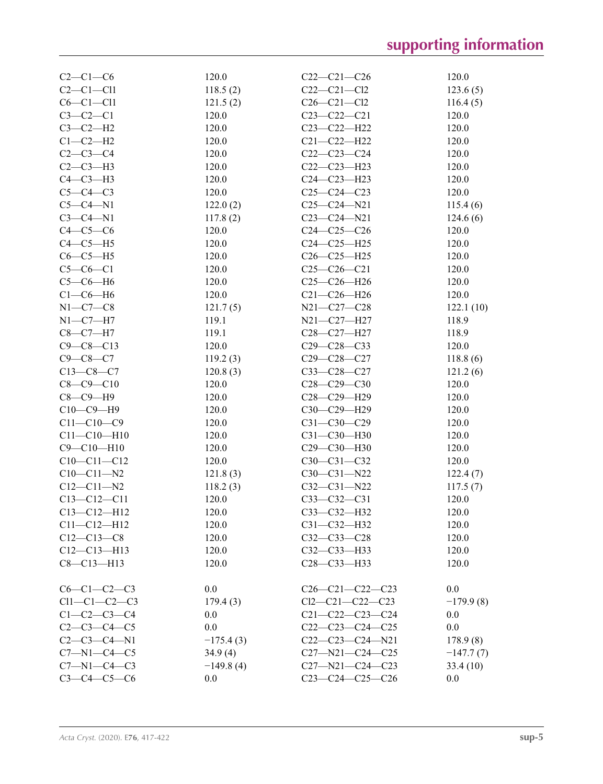| $C2-C1-C6$          | 120.0       | $C22-C21-C26$           | 120.0       |
|---------------------|-------------|-------------------------|-------------|
| $C2-C1-C11$         | 118.5(2)    | $C22-C21-C12$           | 123.6(5)    |
| $C6-C1-C11$         | 121.5(2)    | $C26 - C21 - C12$       | 116.4(5)    |
| $C3-C2-C1$          | 120.0       | $C23 - C22 - C21$       | 120.0       |
| $C3-C2-H2$          | 120.0       | C23-C22-H22             | 120.0       |
| $C1-C2-H2$          | 120.0       | $C21 - C22 - H22$       | 120.0       |
| $C2-C3-C4$          | 120.0       | $C22-C23-C24$           | 120.0       |
| $C2-C3-H3$          | 120.0       | $C22-C23-H23$           | 120.0       |
| $C4-C3-H3$          | 120.0       | $C24 - C23 - H23$       | 120.0       |
| $C5-C4-C3$          | 120.0       | $C25-C24-C23$           | 120.0       |
| $C5-C4-N1$          | 122.0(2)    | $C25 - C24 - N21$       | 115.4(6)    |
| $C3-C4-N1$          | 117.8(2)    | $C23-C24-N21$           | 124.6(6)    |
| $C4-C5-C6$          | 120.0       | $C24 - C25 - C26$       | 120.0       |
| $C4-C5-H5$          | 120.0       | $C24-C25-H25$           | 120.0       |
| $C6-C5-H5$          | 120.0       | $C26-C25-H25$           | 120.0       |
| $C5-C6-C1$          | 120.0       | $C25-C26-C21$           | 120.0       |
|                     |             |                         |             |
| $C5-C6-H6$          | 120.0       | $C25-C26-H26$           | 120.0       |
| $C1-C6-H6$          | 120.0       | $C21 - C26 - H26$       | 120.0       |
| $N1-C7-C8$          | 121.7(5)    | N21-C27-C28             | 122.1(10)   |
| $N1-C7-H7$          | 119.1       | N21-C27-H27             | 118.9       |
| $C8 - C7 - H7$      | 119.1       | C28-C27-H27             | 118.9       |
| $C9 - C8 - C13$     | 120.0       | $C29 - C28 - C33$       | 120.0       |
| $C9 - C8 - C7$      | 119.2(3)    | $C29 - C28 - C27$       | 118.8(6)    |
| $C13-C8-C7$         | 120.8(3)    | C33-C28-C27             | 121.2(6)    |
| $C8 - C9 - C10$     | 120.0       | $C28-C29-C30$           | 120.0       |
| $C8-C9-H9$          | 120.0       | C28-C29-H29             | 120.0       |
| $C10-C9-H9$         | 120.0       | C30-C29-H29             | 120.0       |
| $C11 - C10 - C9$    | 120.0       | $C31 - C30 - C29$       | 120.0       |
| $C11 - C10 - H10$   | 120.0       | C31-C30-H30             | 120.0       |
| $C9 - C10 - H10$    | 120.0       | C29-C30-H30             | 120.0       |
| $C10-C11-C12$       | 120.0       | $C30-C31-C32$           | 120.0       |
| $C10-C11-N2$        | 121.8(3)    | $C30-C31-N22$           | 122.4(7)    |
| $C12 - C11 - N2$    | 118.2(3)    | $C32 - C31 - N22$       | 117.5(7)    |
| $C13 - C12 - C11$   | 120.0       | $C33-C32-C31$           | 120.0       |
| $C13 - C12 - H12$   | 120.0       | C33-C32-H32             | 120.0       |
| $C11 - C12 - H12$   | 120.0       | $C31 - C32 - H32$       | 120.0       |
| $C12 - C13 - C8$    | 120.0       | $C32 - C33 - C28$       | 120.0       |
| $C12-C13-H13$       | 120.0       | $C32 - C33 - H33$       | 120.0       |
| $C8 - C13 - H13$    | 120.0       | C28-C33-H33             | 120.0       |
|                     |             |                         |             |
| $C6-C1-C2-C3$       | 0.0         | $C26-C21-C22-C23$       | 0.0         |
| $Cl1-C1-C2-C3$      | 179.4(3)    | $Cl2-C21-C22-C23$       | $-179.9(8)$ |
| $C1 - C2 - C3 - C4$ | 0.0         | $C21 - C22 - C23 - C24$ | 0.0         |
| $C2-C3-C4-C5$       | 0.0         | $C22-C23-C24-C25$       | 0.0         |
| $C2-C3-C4-N1$       | $-175.4(3)$ | $C22-C23-C24-N21$       | 178.9(8)    |
| $C7 - N1 - C4 - C5$ | 34.9(4)     | $C27 - N21 - C24 - C25$ |             |
| $C7 - N1 - C4 - C3$ |             | $C27 - N21 - C24 - C23$ | $-147.7(7)$ |
|                     | $-149.8(4)$ |                         | 33.4(10)    |
| $C3 - C4 - C5 - C6$ | 0.0         | C23-C24-C25-C26         | 0.0         |